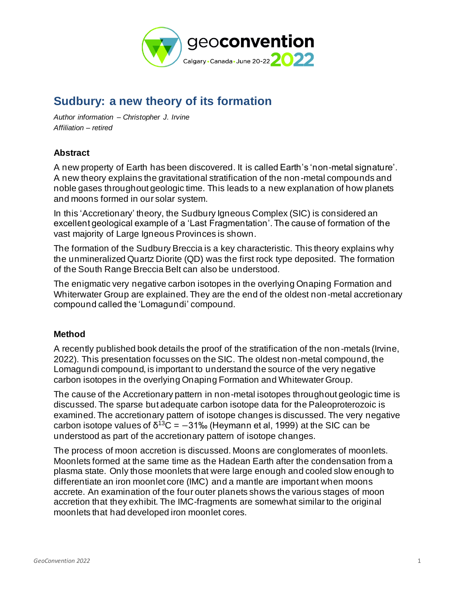

# **Sudbury: a new theory of its formation**

*Author information – Christopher J. Irvine Affiliation – retired*

## **Abstract**

A new property of Earth has been discovered. It is called Earth's 'non-metal signature'. A new theory explains the gravitational stratification of the non-metal compounds and noble gases throughout geologic time. This leads to a new explanation of how planets and moons formed in our solar system.

In this 'Accretionary' theory, the Sudbury Igneous Complex (SIC) is considered an excellent geological example of a 'Last Fragmentation'. The cause of formation of the vast majority of Large Igneous Provinces is shown.

The formation of the Sudbury Breccia is a key characteristic. This theory explains why the unmineralized Quartz Diorite (QD) was the first rock type deposited. The formation of the South Range Breccia Belt can also be understood.

The enigmatic very negative carbon isotopes in the overlying Onaping Formation and Whiterwater Group are explained. They are the end of the oldest non-metal accretionary compound called the 'Lomagundi' compound.

### **Method**

A recently published book details the proof of the stratification of the non -metals (Irvine, 2022). This presentation focusses on the SIC. The oldest non-metal compound, the Lomagundi compound, is important to understand the source of the very negative carbon isotopes in the overlying Onaping Formation and Whitewater Group.

The cause of the Accretionary pattern in non-metal isotopes throughout geologic time is discussed. The sparse but adequate carbon isotope data for the Paleoproterozoic is examined. The accretionary pattern of isotope changes is discussed. The very negative carbon isotope values of  $\delta^{13}C = -31\%$  (Heymann et al, 1999) at the SIC can be understood as part of the accretionary pattern of isotope changes.

The process of moon accretion is discussed. Moons are conglomerates of moonlets. Moonlets formed at the same time as the Hadean Earth after the condensation from a plasma state. Only those moonlets that were large enough and cooled slow enough to differentiate an iron moonlet core (IMC) and a mantle are important when moons accrete. An examination of the four outer planets shows the various stages of moon accretion that they exhibit. The IMC-fragments are somewhat similar to the original moonlets that had developed iron moonlet cores.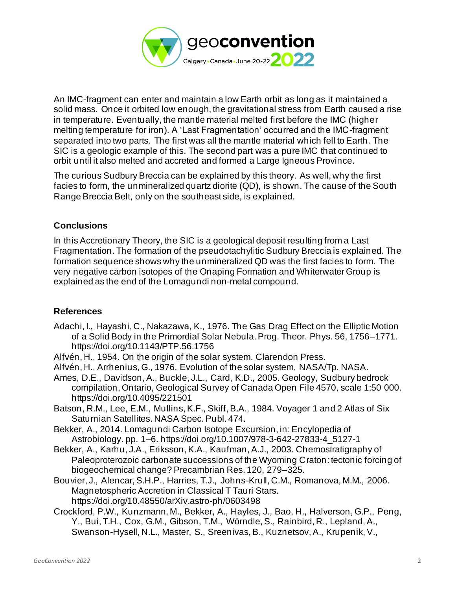

An IMC-fragment can enter and maintain a low Earth orbit as long as it maintained a solid mass. Once it orbited low enough, the gravitational stress from Earth caused a rise in temperature. Eventually, the mantle material melted first before the IMC (higher melting temperature for iron). A 'Last Fragmentation' occurred and the IMC-fragment separated into two parts. The first was all the mantle material which fell to Earth. The SIC is a geologic example of this. The second part was a pure IMC that continued to orbit until it also melted and accreted and formed a Large Igneous Province.

The curious Sudbury Breccia can be explained by this theory. As well, why the first facies to form, the unmineralized quartz diorite (QD), is shown. The cause of the South Range Breccia Belt, only on the southeast side, is explained.

### **Conclusions**

In this Accretionary Theory, the SIC is a geological deposit resulting from a Last Fragmentation. The formation of the pseudotachylitic Sudbury Breccia is explained. The formation sequence shows why the unmineralized QD was the first facies to form. The very negative carbon isotopes of the Onaping Formation and Whiterwater Group is explained as the end of the Lomagundi non-metal compound.

#### **References**

- Adachi, I., Hayashi, C., Nakazawa, K., 1976. The Gas Drag Effect on the Elliptic Motion of a Solid Body in the Primordial Solar Nebula. Prog. Theor. Phys. 56, 1756–1771. https://doi.org/10.1143/PTP.56.1756
- Alfvén, H., 1954. On the origin of the solar system. Clarendon Press.
- Alfvén, H., Arrhenius, G., 1976. Evolution of the solar system, NASA/Tp. NASA.
- Ames, D.E., Davidson, A., Buckle, J.L., Card, K.D., 2005. Geology, Sudbury bedrock compilation, Ontario, Geological Survey of Canada Open File 4570, scale 1:50 000. https://doi.org/10.4095/221501
- Batson, R.M., Lee, E.M., Mullins, K.F., Skiff, B.A., 1984. Voyager 1 and 2 Atlas of Six Saturnian Satellites. NASA Spec. Publ. 474.
- Bekker, A., 2014. Lomagundi Carbon Isotope Excursion, in: Encylopedia of Astrobiology. pp. 1–6. https://doi.org/10.1007/978-3-642-27833-4\_5127-1
- Bekker, A., Karhu, J.A., Eriksson, K.A., Kaufman, A.J., 2003. Chemostratigraphy of Paleoproterozoic carbonate successions of the Wyoming Craton: tectonic forcing of biogeochemical change? Precambrian Res. 120, 279–325.
- Bouvier, J., Alencar, S.H.P., Harries, T.J., Johns-Krull, C.M., Romanova, M.M., 2006. Magnetospheric Accretion in Classical T Tauri Stars. https://doi.org/10.48550/arXiv.astro-ph/0603498
- Crockford, P.W., Kunzmann, M., Bekker, A., Hayles, J., Bao, H., Halverson, G.P., Peng, Y., Bui, T.H., Cox, G.M., Gibson, T.M., Wörndle, S., Rainbird, R., Lepland, A., Swanson-Hysell, N.L., Master, S., Sreenivas, B., Kuznetsov, A., Krupenik, V.,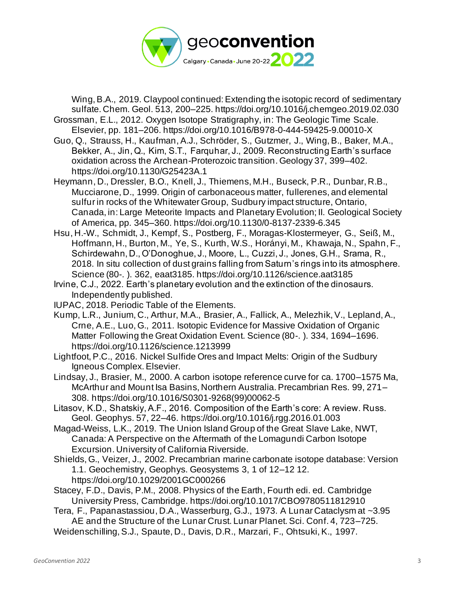

Wing, B.A., 2019. Claypool continued: Extending the isotopic record of sedimentary sulfate. Chem. Geol. 513, 200–225. https://doi.org/10.1016/j.chemgeo.2019.02.030

- Grossman, E.L., 2012. Oxygen Isotope Stratigraphy, in: The Geologic Time Scale. Elsevier, pp. 181–206. https://doi.org/10.1016/B978-0-444-59425-9.00010-X
- Guo, Q., Strauss, H., Kaufman, A.J., Schröder, S., Gutzmer, J., Wing, B., Baker, M.A., Bekker, A., Jin, Q., Kim, S.T., Farquhar, J., 2009. Reconstructing Earth's surface oxidation across the Archean-Proterozoic transition. Geology 37, 399–402. https://doi.org/10.1130/G25423A.1
- Heymann, D., Dressler, B.O., Knell, J., Thiemens, M.H., Buseck, P.R., Dunbar, R.B., Mucciarone, D., 1999. Origin of carbonaceous matter, fullerenes, and elemental sulfur in rocks of the Whitewater Group, Sudbury impact structure, Ontario, Canada, in: Large Meteorite Impacts and Planetary Evolution; II. Geological Society of America, pp. 345–360. https://doi.org/10.1130/0-8137-2339-6.345
- Hsu, H.-W., Schmidt, J., Kempf, S., Postberg, F., Moragas-Klostermeyer, G., Seiß, M., Hoffmann, H., Burton, M., Ye, S., Kurth, W.S., Horányi, M., Khawaja, N., Spahn, F., Schirdewahn, D., O'Donoghue, J., Moore, L., Cuzzi, J., Jones, G.H., Srama, R., 2018. In situ collection of dust grains falling from Saturn's rings into its atmosphere. Science (80-. ). 362, eaat3185. https://doi.org/10.1126/science.aat3185
- Irvine, C.J., 2022. Earth's planetary evolution and the extinction of the dinosaurs. Independently published.
- IUPAC, 2018. Periodic Table of the Elements.
- Kump, L.R., Junium, C., Arthur, M.A., Brasier, A., Fallick, A., Melezhik, V., Lepland, A., Crne, A.E., Luo, G., 2011. Isotopic Evidence for Massive Oxidation of Organic Matter Following the Great Oxidation Event. Science (80-. ). 334, 1694–1696. https://doi.org/10.1126/science.1213999
- Lightfoot, P.C., 2016. Nickel Sulfide Ores and Impact Melts: Origin of the Sudbury Igneous Complex. Elsevier.
- Lindsay, J., Brasier, M., 2000. A carbon isotope reference curve for ca. 1700–1575 Ma, McArthur and Mount Isa Basins, Northern Australia. Precambrian Res. 99, 271– 308. https://doi.org/10.1016/S0301-9268(99)00062-5
- Litasov, K.D., Shatskiy, A.F., 2016. Composition of the Earth's core: A review. Russ. Geol. Geophys. 57, 22–46. https://doi.org/10.1016/j.rgg.2016.01.003
- Magad-Weiss, L.K., 2019. The Union Island Group of the Great Slave Lake, NWT, Canada: A Perspective on the Aftermath of the Lomagundi Carbon Isotope Excursion. University of California Riverside.
- Shields, G., Veizer, J., 2002. Precambrian marine carbonate isotope database: Version 1.1. Geochemistry, Geophys. Geosystems 3, 1 of 12–12 12. https://doi.org/10.1029/2001GC000266
- Stacey, F.D., Davis, P.M., 2008. Physics of the Earth, Fourth edi. ed. Cambridge University Press, Cambridge. https://doi.org/10.1017/CBO9780511812910
- Tera, F., Papanastassiou, D.A., Wasserburg, G.J., 1973. A Lunar Cataclysm at ~3.95 AE and the Structure of the Lunar Crust. Lunar Planet. Sci. Conf. 4, 723–725. Weidenschilling, S.J., Spaute, D., Davis, D.R., Marzari, F., Ohtsuki, K., 1997.